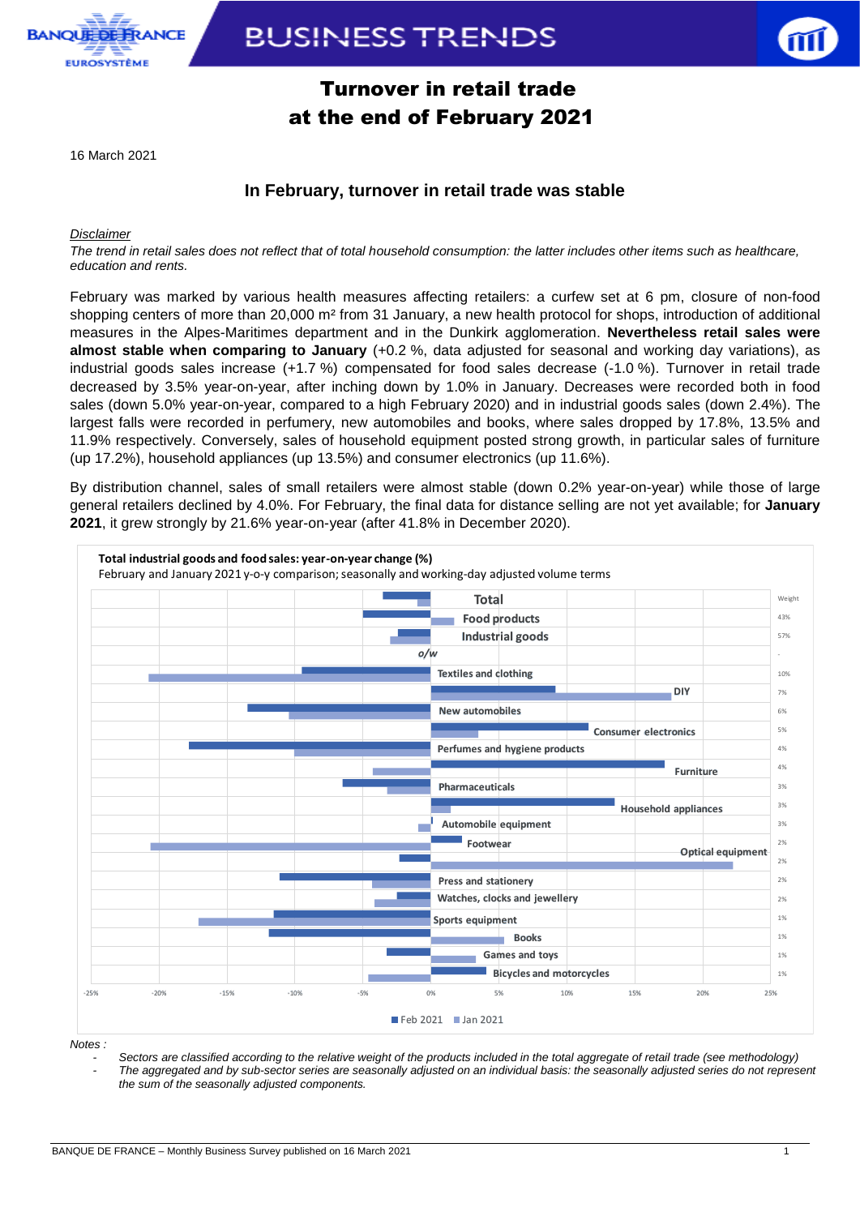

# **BUSINESS TRENDS**



### Turnover in retail trade at the end of February 2021

16 March 2021

### **In February, turnover in retail trade was stable**

*Disclaimer*

*The trend in retail sales does not reflect that of total household consumption: the latter includes other items such as healthcare, education and rents.*

February was marked by various health measures affecting retailers: a curfew set at 6 pm, closure of non-food shopping centers of more than 20,000 m² from 31 January, a new health protocol for shops, introduction of additional measures in the Alpes-Maritimes department and in the Dunkirk agglomeration. **Nevertheless retail sales were almost stable when comparing to January** (+0.2 %, data adjusted for seasonal and working day variations), as industrial goods sales increase (+1.7 %) compensated for food sales decrease (-1.0 %). Turnover in retail trade decreased by 3.5% year-on-year, after inching down by 1.0% in January. Decreases were recorded both in food sales (down 5.0% year-on-year, compared to a high February 2020) and in industrial goods sales (down 2.4%). The largest falls were recorded in perfumery, new automobiles and books, where sales dropped by 17.8%, 13.5% and 11.9% respectively. Conversely, sales of household equipment posted strong growth, in particular sales of furniture (up 17.2%), household appliances (up 13.5%) and consumer electronics (up 11.6%).

By distribution channel, sales of small retailers were almost stable (down 0.2% year-on-year) while those of large general retailers declined by 4.0%. For February, the final data for distance selling are not yet available; for **January 2021**, it grew strongly by 21.6% year-on-year (after 41.8% in December 2020).



*Notes :* 

*- Sectors are classified according to the relative weight of the products included in the total aggregate of retail trade (see methodology)*

*- The aggregated and by sub-sector series are seasonally adjusted on an individual basis: the seasonally adjusted series do not represent the sum of the seasonally adjusted components.*